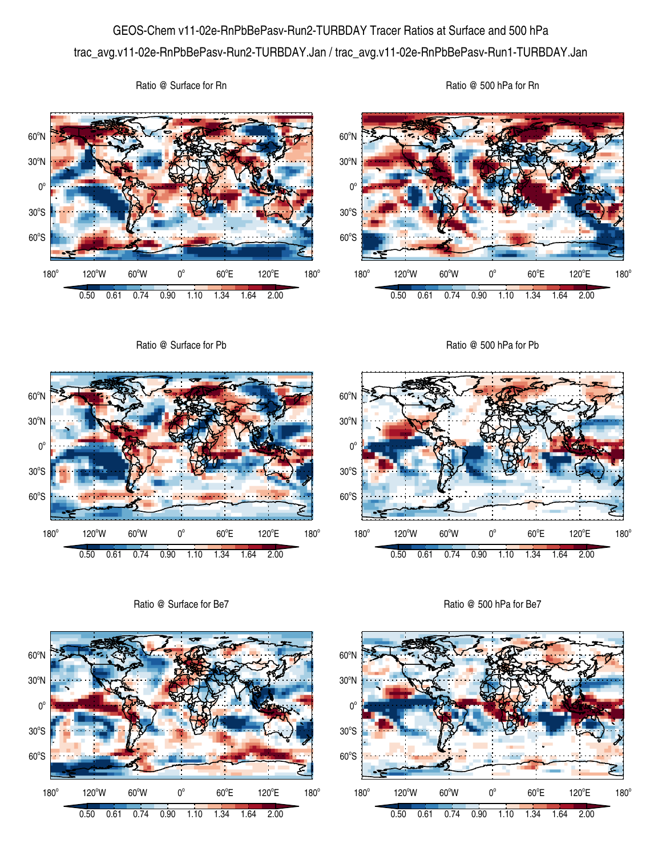## GEOS-Chem v11-02e-RnPbBePasv-Run2-TURBDAY Tracer Ratios at Surface and 500 hPa trac\_avg.v11-02e-RnPbBePasv-Run2-TURBDAY.Jan / trac\_avg.v11-02e-RnPbBePasv-Run1-TURBDAY.Jan

Ratio @ Surface for Rn

Ratio @ 500 hPa for Rn





Ratio @ Surface for Be7



60°S

 $180^\circ$ 



Ratio @ 500 hPa for Be7

0.50 0.61 0.74 0.90 1.10 1.34 1.64 2.00

 $60^{\circ}E$ 

120°E

 $180^\circ$ 

 $120^{\circ}$ W 60 $^{\circ}$ W 0 $^{\circ}$